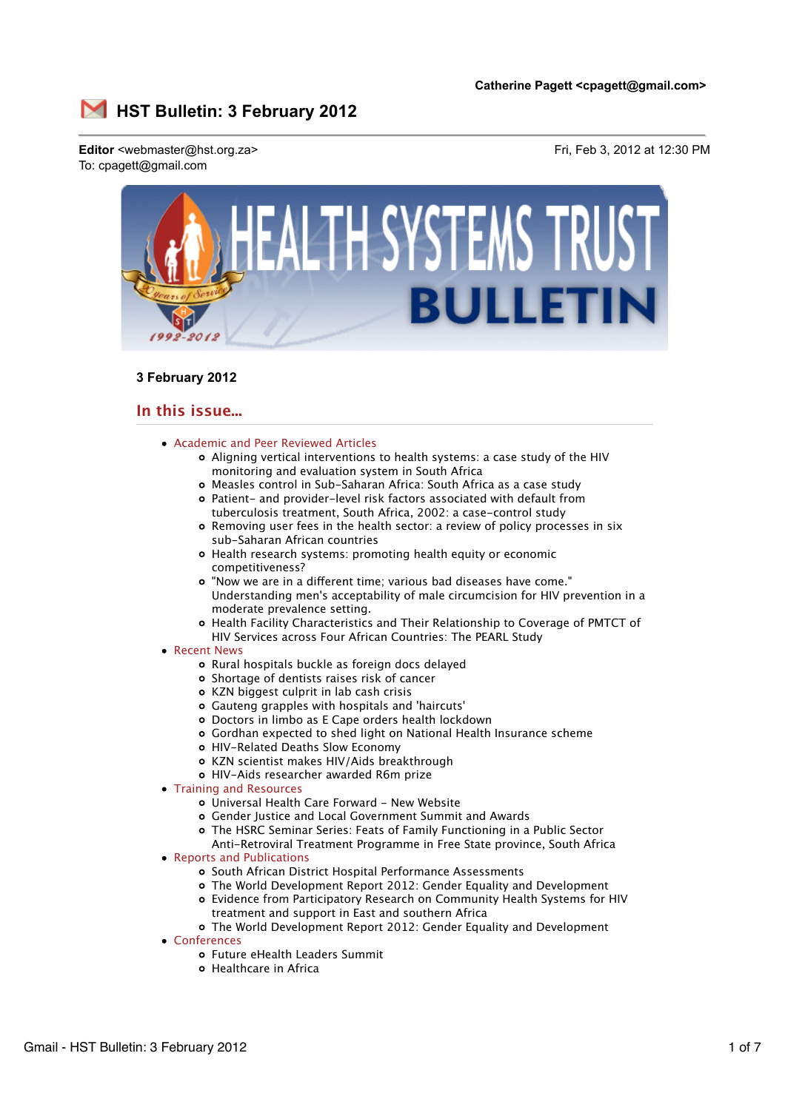

# **3 February 2012**

# **In this issue...**

- Academic and Peer Reviewed Articles
	- Aligning vertical interventions to health systems: a case study of the HIV monitoring and evaluation system in South Africa
	- Measles control in Sub-Saharan Africa: South Africa as a case study
	- Patient- and provider-level risk factors associated with default from tuberculosis treatment, South Africa, 2002: a case-control study
	- Removing user fees in the health sector: a review of policy processes in six sub-Saharan African countries
	- Health research systems: promoting health equity or economic competitiveness?
	- o "Now we are in a different time; various bad diseases have come." Understanding men's acceptability of male circumcision for HIV prevention in a moderate prevalence setting.
	- Health Facility Characteristics and Their Relationship to Coverage of PMTCT of HIV Services across Four African Countries: The PEARL Study
- Recent News
	- Rural hospitals buckle as foreign docs delayed
	- Shortage of dentists raises risk of cancer
	- KZN biggest culprit in lab cash crisis
	- Gauteng grapples with hospitals and 'haircuts'
	- Doctors in limbo as E Cape orders health lockdown
	- Gordhan expected to shed light on National Health Insurance scheme
	- HIV-Related Deaths Slow Economy
	- KZN scientist makes HIV/Aids breakthrough
	- HIV-Aids researcher awarded R6m prize
- Training and Resources
	- Universal Health Care Forward New Website
	- Gender Justice and Local Government Summit and Awards
	- The HSRC Seminar Series: Feats of Family Functioning in a Public Sector
	- Anti-Retroviral Treatment Programme in Free State province, South Africa
- Reports and Publications
	- o South African District Hospital Performance Assessments
	- The World Development Report 2012: Gender Equality and Development
	- Evidence from Participatory Research on Community Health Systems for HIV treatment and support in East and southern Africa
	- The World Development Report 2012: Gender Equality and Development
- Conferences
	- Future eHealth Leaders Summit
	- Healthcare in Africa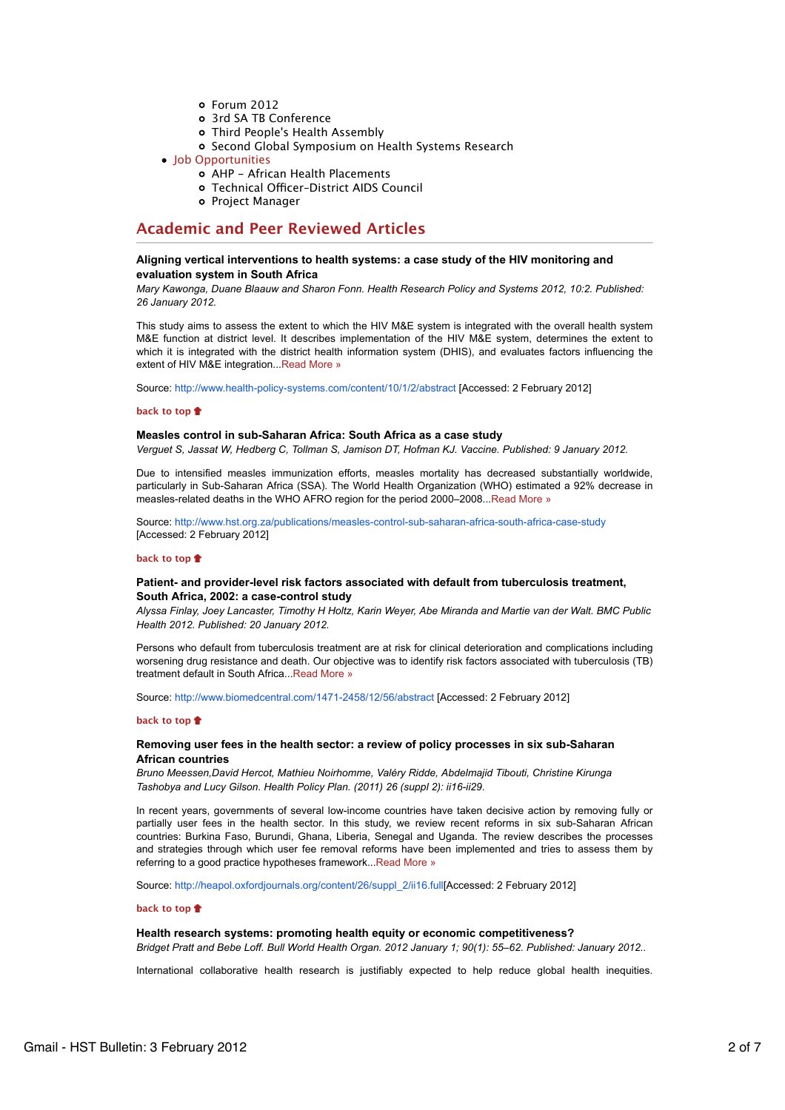- Forum 2012
- 3rd SA TB Conference
- Third People's Health Assembly
- o Second Global Symposium on Health Systems Research
- Job Opportunities
	- AHP African Health Placements
	- o Technical Officer-District AIDS Council
	- o Project Manager

# **Academic and Peer Reviewed Articles**

# **Aligning vertical interventions to health systems: a case study of the HIV monitoring and evaluation system in South Africa**

*Mary Kawonga, Duane Blaauw and Sharon Fonn. Health Research Policy and Systems 2012, 10:2. Published: 26 January 2012.*

This study aims to assess the extent to which the HIV M&E system is integrated with the overall health system M&E function at district level. It describes implementation of the HIV M&E system, determines the extent to which it is integrated with the district health information system (DHIS), and evaluates factors influencing the extent of HIV M&E integration...Read More »

Source: http://www.health-policy-systems.com/content/10/1/2/abstract [Accessed: 2 February 2012]

## **back to top**

## **Measles control in sub-Saharan Africa: South Africa as a case study**

*Verguet S, Jassat W, Hedberg C, Tollman S, Jamison DT, Hofman KJ. Vaccine. Published: 9 January 2012.*

Due to intensified measles immunization efforts, measles mortality has decreased substantially worldwide, particularly in Sub-Saharan Africa (SSA). The World Health Organization (WHO) estimated a 92% decrease in measles-related deaths in the WHO AFRO region for the period 2000–2008. Read More »

Source: http://www.hst.org.za/publications/measles-control-sub-saharan-africa-south-africa-case-study [Accessed: 2 February 2012]

### **back to top**

# **Patient- and provider-level risk factors associated with default from tuberculosis treatment, South Africa, 2002: a case-control study**

*Alyssa Finlay, Joey Lancaster, Timothy H Holtz, Karin Weyer, Abe Miranda and Martie van der Walt. BMC Public Health 2012. Published: 20 January 2012.*

Persons who default from tuberculosis treatment are at risk for clinical deterioration and complications including worsening drug resistance and death. Our objective was to identify risk factors associated with tuberculosis (TB) treatment default in South Africa...Read More »

Source: http://www.biomedcentral.com/1471-2458/12/56/abstract [Accessed: 2 February 2012]

### **back to top**

## **Removing user fees in the health sector: a review of policy processes in six sub-Saharan African countries**

*Bruno Meessen,David Hercot, Mathieu Noirhomme, Valéry Ridde, Abdelmajid Tibouti, Christine Kirunga Tashobya and Lucy Gilson. Health Policy Plan. (2011) 26 (suppl 2): ii16-ii29.*

In recent years, governments of several low-income countries have taken decisive action by removing fully or partially user fees in the health sector. In this study, we review recent reforms in six sub-Saharan African countries: Burkina Faso, Burundi, Ghana, Liberia, Senegal and Uganda. The review describes the processes and strategies through which user fee removal reforms have been implemented and tries to assess them by referring to a good practice hypotheses framework...Read More »

Source: http://heapol.oxfordjournals.org/content/26/suppl\_2/ii16.full[Accessed: 2 February 2012]

### **back to top**

### **Health research systems: promoting health equity or economic competitiveness?**

*Bridget Pratt and Bebe Loff. Bull World Health Organ. 2012 January 1; 90(1): 55–62. Published: January 2012..*

International collaborative health research is justifiably expected to help reduce global health inequities.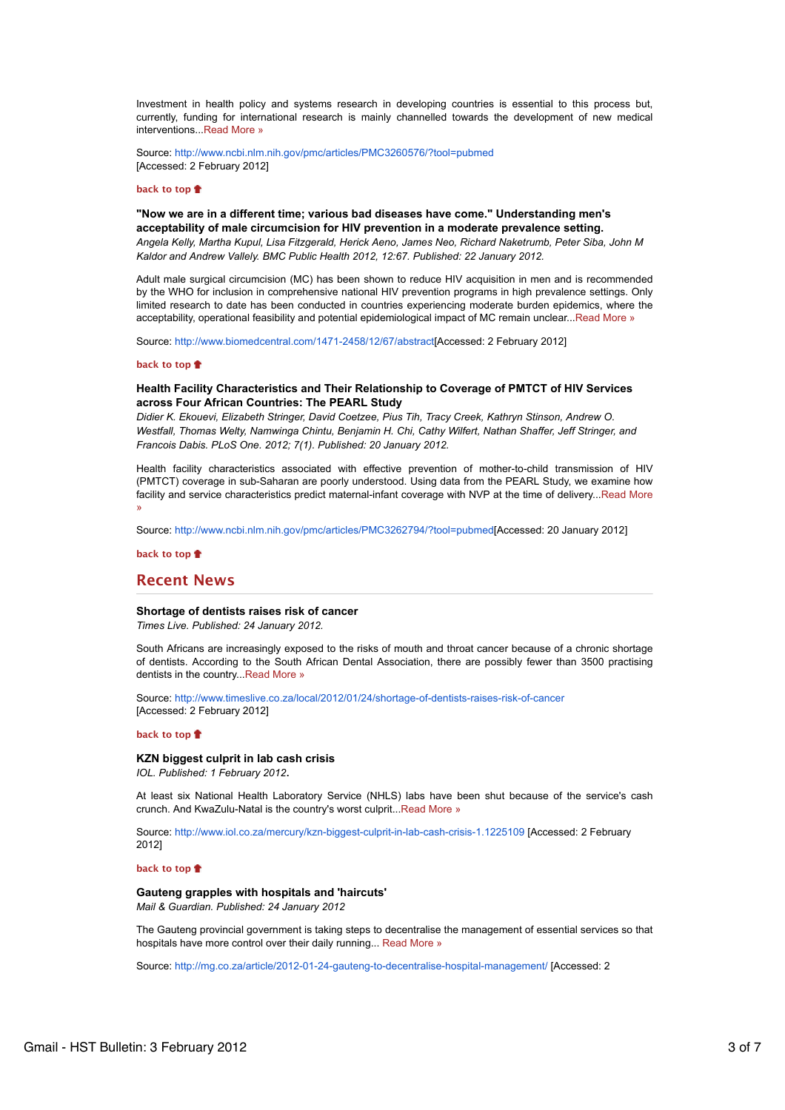Investment in health policy and systems research in developing countries is essential to this process but, currently, funding for international research is mainly channelled towards the development of new medical interventions. Read More »

Source: http://www.ncbi.nlm.nih.gov/pmc/articles/PMC3260576/?tool=pubmed [Accessed: 2 February 2012]

### **back to top**

**"Now we are in a different time; various bad diseases have come." Understanding men's acceptability of male circumcision for HIV prevention in a moderate prevalence setting.**

*Angela Kelly, Martha Kupul, Lisa Fitzgerald, Herick Aeno, James Neo, Richard Naketrumb, Peter Siba, John M Kaldor and Andrew Vallely. BMC Public Health 2012, 12:67. Published: 22 January 2012.*

Adult male surgical circumcision (MC) has been shown to reduce HIV acquisition in men and is recommended by the WHO for inclusion in comprehensive national HIV prevention programs in high prevalence settings. Only limited research to date has been conducted in countries experiencing moderate burden epidemics, where the acceptability, operational feasibility and potential epidemiological impact of MC remain unclear...Read More »

Source: http://www.biomedcentral.com/1471-2458/12/67/abstract[Accessed: 2 February 2012]

### **back to top**

# **Health Facility Characteristics and Their Relationship to Coverage of PMTCT of HIV Services across Four African Countries: The PEARL Study**

*Didier K. Ekouevi, Elizabeth Stringer, David Coetzee, Pius Tih, Tracy Creek, Kathryn Stinson, Andrew O. Westfall, Thomas Welty, Namwinga Chintu, Benjamin H. Chi, Cathy Wilfert, Nathan Shaffer, Jeff Stringer, and Francois Dabis. PLoS One. 2012; 7(1). Published: 20 January 2012.*

Health facility characteristics associated with effective prevention of mother-to-child transmission of HIV (PMTCT) coverage in sub-Saharan are poorly understood. Using data from the PEARL Study, we examine how facility and service characteristics predict maternal-infant coverage with NVP at the time of delivery...Read More »

Source: http://www.ncbi.nlm.nih.gov/pmc/articles/PMC3262794/?tool=pubmed[Accessed: 20 January 2012]

**back to top**

# **Recent News**

### **Shortage of dentists raises risk of cancer**

*Times Live. Published: 24 January 2012.*

South Africans are increasingly exposed to the risks of mouth and throat cancer because of a chronic shortage of dentists. According to the South African Dental Association, there are possibly fewer than 3500 practising dentists in the country. Read More »

Source: http://www.timeslive.co.za/local/2012/01/24/shortage-of-dentists-raises-risk-of-cancer [Accessed: 2 February 2012]

# **back to top**

**KZN biggest culprit in lab cash crisis**

*IOL. Published: 1 February 2012*.

At least six National Health Laboratory Service (NHLS) labs have been shut because of the service's cash crunch. And KwaZulu-Natal is the country's worst culprit...Read More »

Source: http://www.iol.co.za/mercury/kzn-biggest-culprit-in-lab-cash-crisis-1.1225109 [Accessed: 2 February 2012]

#### **back to top**

# **Gauteng grapples with hospitals and 'haircuts'** *Mail & Guardian. Published: 24 January 2012*

The Gauteng provincial government is taking steps to decentralise the management of essential services so that hospitals have more control over their daily running... Read More »

Source: http://mg.co.za/article/2012-01-24-gauteng-to-decentralise-hospital-management/ [Accessed: 2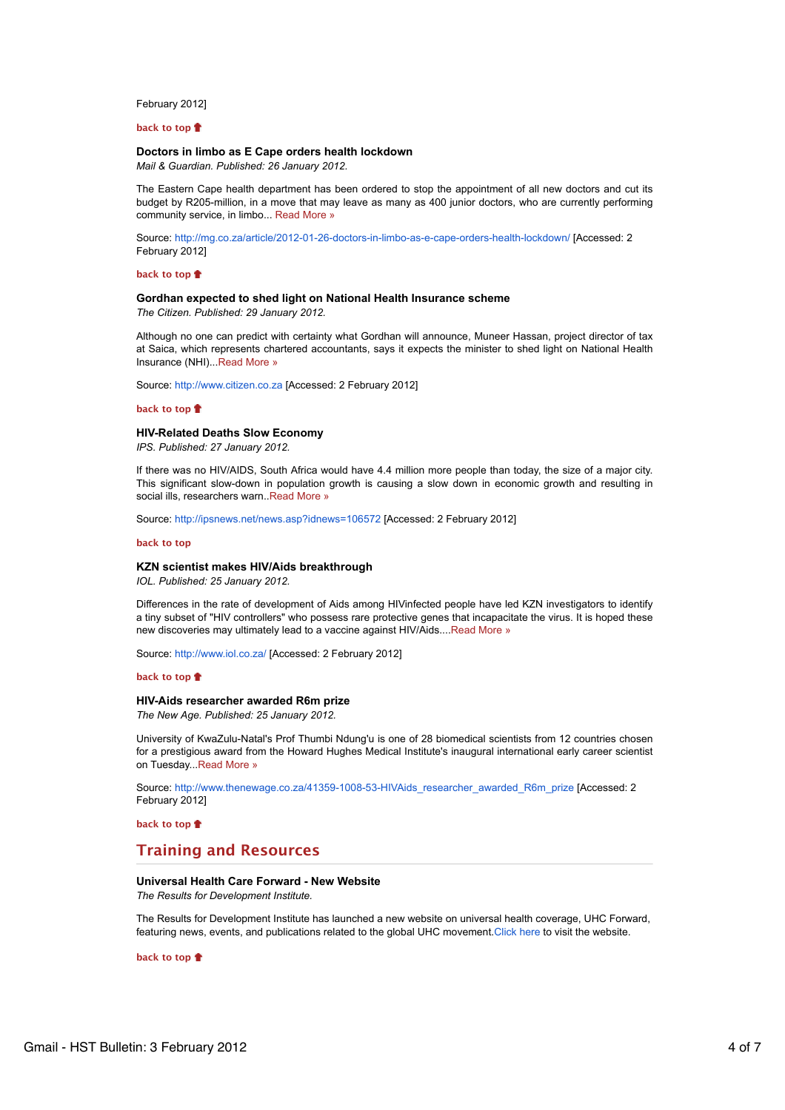## February 2012]

### **back to top**

## **Doctors in limbo as E Cape orders health lockdown**

*Mail & Guardian. Published: 26 January 2012.*

The Eastern Cape health department has been ordered to stop the appointment of all new doctors and cut its budget by R205-million, in a move that may leave as many as 400 junior doctors, who are currently performing community service, in limbo... Read More »

Source: http://mg.co.za/article/2012-01-26-doctors-in-limbo-as-e-cape-orders-health-lockdown/ [Accessed: 2 February 2012]

### **back to top**

# **Gordhan expected to shed light on National Health Insurance scheme**

*The Citizen. Published: 29 January 2012.*

Although no one can predict with certainty what Gordhan will announce, Muneer Hassan, project director of tax at Saica, which represents chartered accountants, says it expects the minister to shed light on National Health Insurance (NHI)...Read More »

Source: http://www.citizen.co.za [Accessed: 2 February 2012]

#### **back to top**

## **HIV-Related Deaths Slow Economy**

*IPS. Published: 27 January 2012.*

If there was no HIV/AIDS, South Africa would have 4.4 million more people than today, the size of a major city. This significant slow-down in population growth is causing a slow down in economic growth and resulting in social ills, researchers warn. Read More »

Source: http://ipsnews.net/news.asp?idnews=106572 [Accessed: 2 February 2012]

#### **back to top**

### **KZN scientist makes HIV/Aids breakthrough**

*IOL. Published: 25 January 2012.*

Differences in the rate of development of Aids among HIVinfected people have led KZN investigators to identify a tiny subset of "HIV controllers" who possess rare protective genes that incapacitate the virus. It is hoped these new discoveries may ultimately lead to a vaccine against HIV/Aids....Read More »

Source: http://www.iol.co.za/ [Accessed: 2 February 2012]

#### **back to top**

### **HIV-Aids researcher awarded R6m prize**

*The New Age. Published: 25 January 2012.*

University of KwaZulu-Natal's Prof Thumbi Ndung'u is one of 28 biomedical scientists from 12 countries chosen for a prestigious award from the Howard Hughes Medical Institute's inaugural international early career scientist on Tuesday...Read More »

Source: http://www.thenewage.co.za/41359-1008-53-HIVAids\_researcher\_awarded\_R6m\_prize [Accessed: 2 February 2012]

**back to top**

# **Training and Resources**

# **Universal Health Care Forward - New Website**

*The Results for Development Institute.*

The Results for Development Institute has launched a new website on universal health coverage, UHC Forward, featuring news, events, and publications related to the global UHC movement.Click here to visit the website.

**back to top**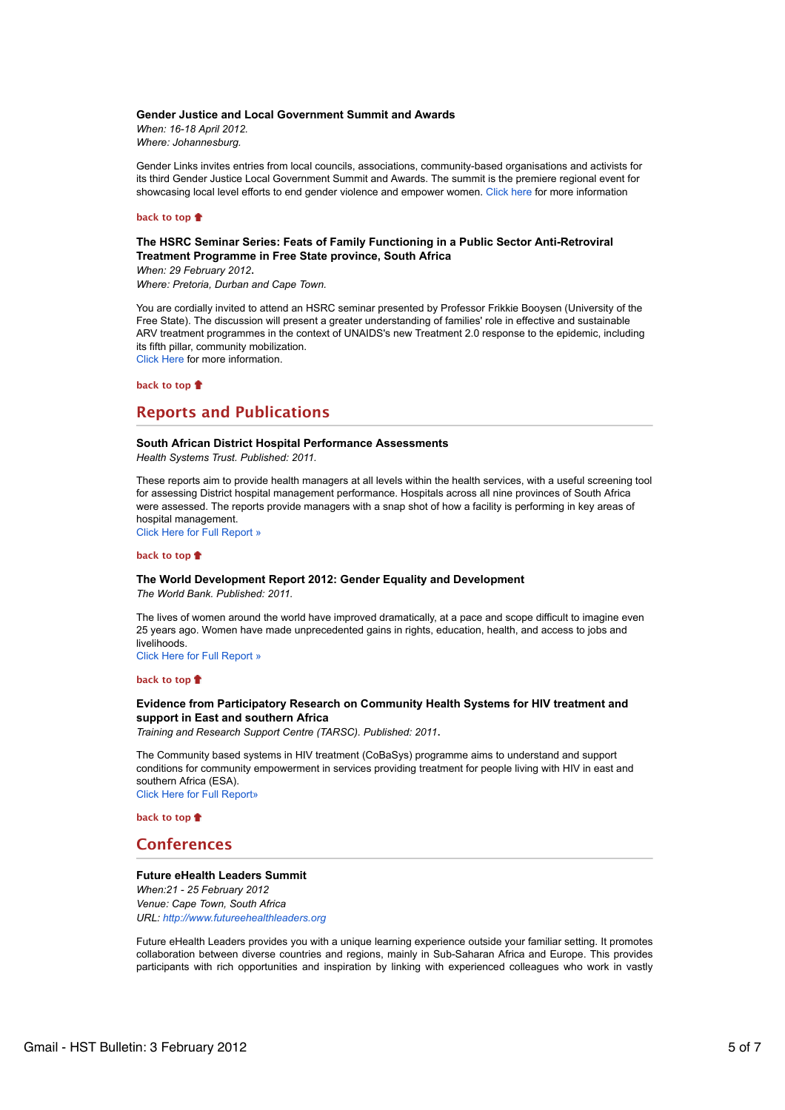### **Gender Justice and Local Government Summit and Awards**

*When: 16-18 April 2012. Where: Johannesburg.*

Gender Links invites entries from local councils, associations, community-based organisations and activists for its third Gender Justice Local Government Summit and Awards. The summit is the premiere regional event for showcasing local level efforts to end gender violence and empower women. Click here for more information

#### **back to top**

# **The HSRC Seminar Series: Feats of Family Functioning in a Public Sector Anti-Retroviral Treatment Programme in Free State province, South Africa**

*When: 29 February 2012*. *Where: Pretoria, Durban and Cape Town.*

You are cordially invited to attend an HSRC seminar presented by Professor Frikkie Booysen (University of the Free State). The discussion will present a greater understanding of families' role in effective and sustainable ARV treatment programmes in the context of UNAIDS's new Treatment 2.0 response to the epidemic, including its fifth pillar, community mobilization. Click Here for more information.

**back to top**

# **Reports and Publications**

## **South African District Hospital Performance Assessments**

*Health Systems Trust. Published: 2011.*

These reports aim to provide health managers at all levels within the health services, with a useful screening tool for assessing District hospital management performance. Hospitals across all nine provinces of South Africa were assessed. The reports provide managers with a snap shot of how a facility is performing in key areas of hospital management.

Click Here for Full Report »

# **back to top**

### **The World Development Report 2012: Gender Equality and Development**

*The World Bank. Published: 2011.*

The lives of women around the world have improved dramatically, at a pace and scope difficult to imagine even 25 years ago. Women have made unprecedented gains in rights, education, health, and access to jobs and livelihoods

Click Here for Full Report »

#### **back to top**

## **Evidence from Participatory Research on Community Health Systems for HIV treatment and support in East and southern Africa**

*Training and Research Support Centre (TARSC). Published: 2011*.

The Community based systems in HIV treatment (CoBaSys) programme aims to understand and support conditions for community empowerment in services providing treatment for people living with HIV in east and southern Africa (ESA).

Click Here for Full Report»

**back to top**

# **Conferences**

#### **Future eHealth Leaders Summit**

*When:21 - 25 February 2012 Venue: Cape Town, South Africa URL: http://www.futureehealthleaders.org*

Future eHealth Leaders provides you with a unique learning experience outside your familiar setting. It promotes collaboration between diverse countries and regions, mainly in Sub-Saharan Africa and Europe. This provides participants with rich opportunities and inspiration by linking with experienced colleagues who work in vastly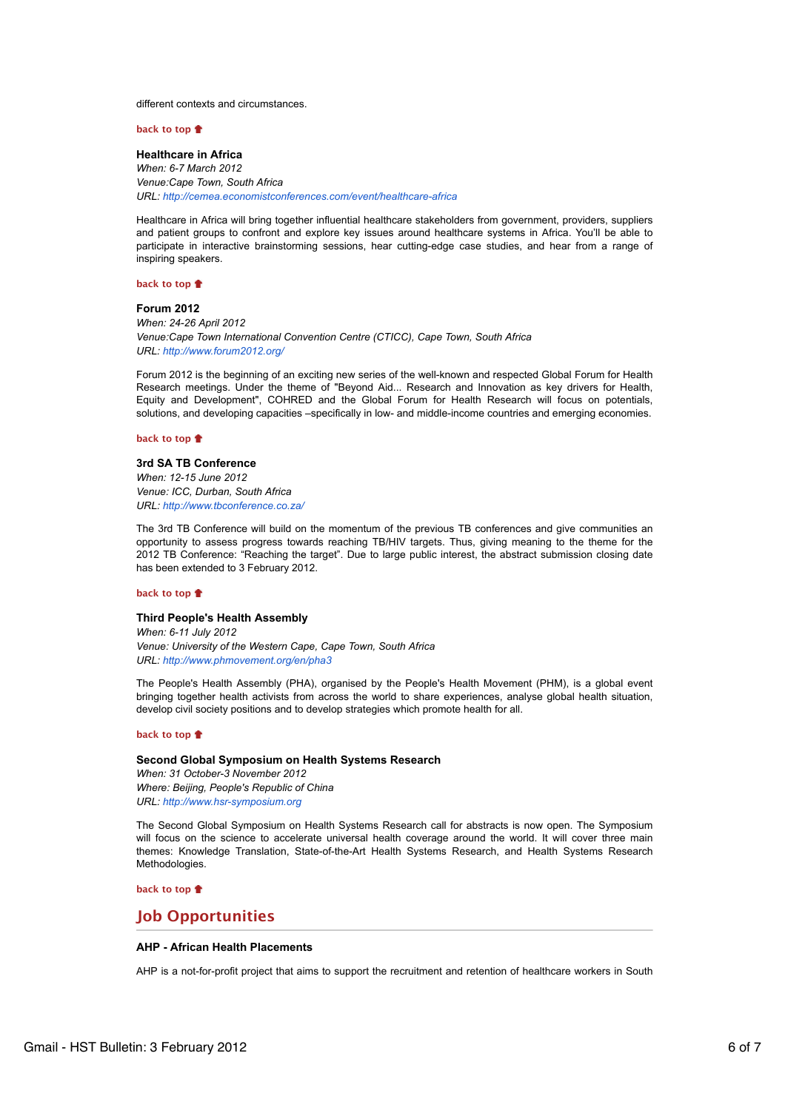different contexts and circumstances.

**back to top**

#### **Healthcare in Africa**

*When: 6-7 March 2012 Venue:Cape Town, South Africa URL: http://cemea.economistconferences.com/event/healthcare-africa*

Healthcare in Africa will bring together influential healthcare stakeholders from government, providers, suppliers and patient groups to confront and explore key issues around healthcare systems in Africa. You'll be able to participate in interactive brainstorming sessions, hear cutting-edge case studies, and hear from a range of inspiring speakers.

### **back to top**

### **Forum 2012**

*When: 24-26 April 2012 Venue:Cape Town International Convention Centre (CTICC), Cape Town, South Africa URL: http://www.forum2012.org/*

Forum 2012 is the beginning of an exciting new series of the well-known and respected Global Forum for Health Research meetings. Under the theme of "Beyond Aid... Research and Innovation as key drivers for Health, Equity and Development", COHRED and the Global Forum for Health Research will focus on potentials, solutions, and developing capacities –specifically in low- and middle-income countries and emerging economies.

## **back to top**

## **3rd SA TB Conference**

*When: 12-15 June 2012 Venue: ICC, Durban, South Africa URL: http://www.tbconference.co.za/*

The 3rd TB Conference will build on the momentum of the previous TB conferences and give communities an opportunity to assess progress towards reaching TB/HIV targets. Thus, giving meaning to the theme for the 2012 TB Conference: "Reaching the target". Due to large public interest, the abstract submission closing date has been extended to 3 February 2012.

### **back to top**

### **Third People's Health Assembly**

*When: 6-11 July 2012 Venue: University of the Western Cape, Cape Town, South Africa URL: http://www.phmovement.org/en/pha3*

The People's Health Assembly (PHA), organised by the People's Health Movement (PHM), is a global event bringing together health activists from across the world to share experiences, analyse global health situation, develop civil society positions and to develop strategies which promote health for all.

## **back to top**

## **Second Global Symposium on Health Systems Research** *When: 31 October-3 November 2012 Where: Beijing, People's Republic of China URL: http://www.hsr-symposium.org*

The Second Global Symposium on Health Systems Research call for abstracts is now open. The Symposium will focus on the science to accelerate universal health coverage around the world. It will cover three main themes: Knowledge Translation, State-of-the-Art Health Systems Research, and Health Systems Research Methodologies.

**back to top**

# **Job Opportunities**

# **AHP - African Health Placements**

AHP is a not-for-profit project that aims to support the recruitment and retention of healthcare workers in South